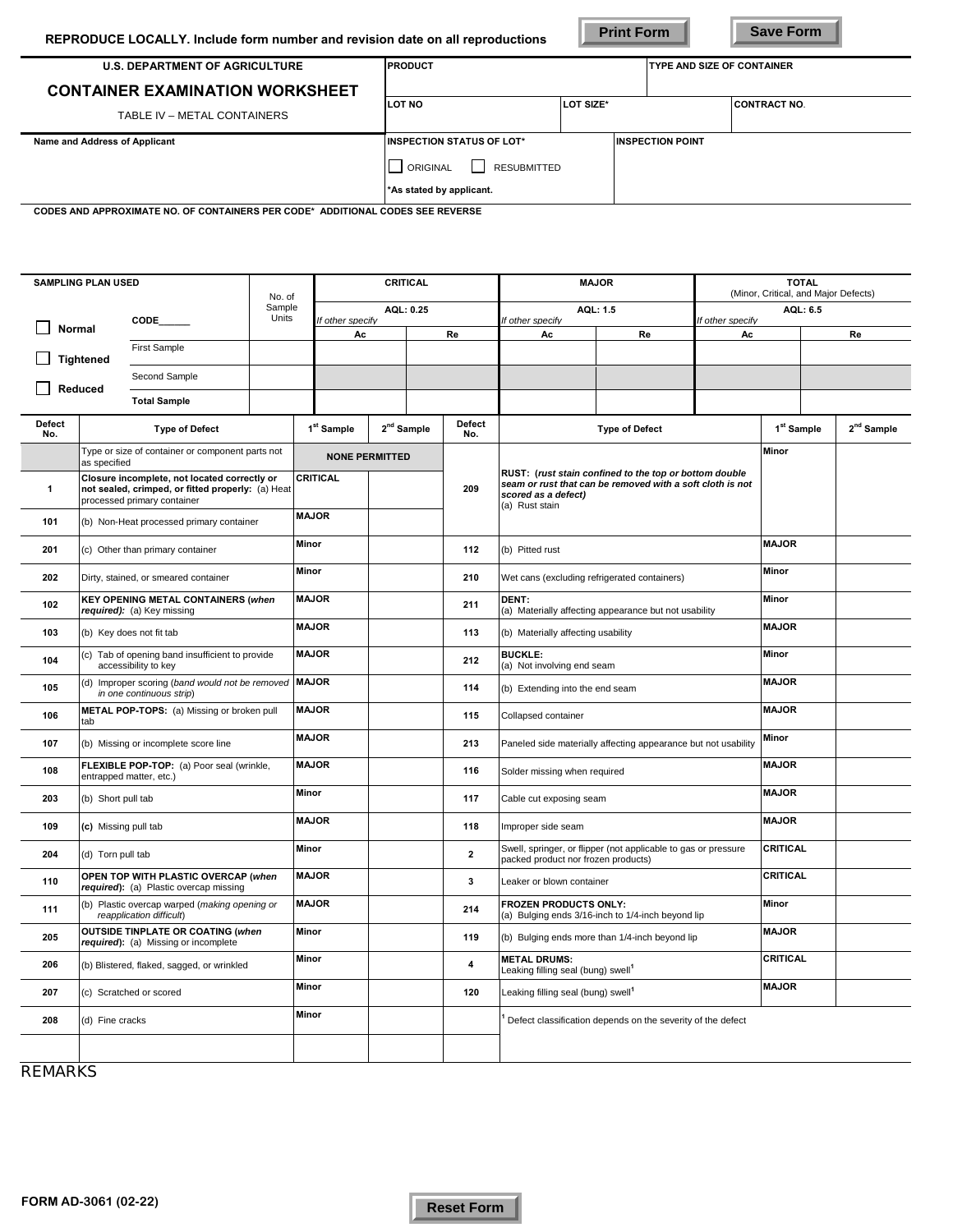**Print Form Save Form** 

| <b>U.S. DEPARTMENT OF AGRICULTURE</b>  | <b>PRODUCT</b>                        |           | <b>TYPE AND SIZE OF CONTAINER</b> |                     |  |
|----------------------------------------|---------------------------------------|-----------|-----------------------------------|---------------------|--|
| <b>CONTAINER EXAMINATION WORKSHEET</b> |                                       |           |                                   |                     |  |
| TABLE IV - METAL CONTAINERS            | LOT NO                                | LOT SIZE* |                                   | <b>CONTRACT NO.</b> |  |
| Name and Address of Applicant          | <b>INSPECTION STATUS OF LOT*</b>      |           | <b>INSPECTION POINT</b>           |                     |  |
|                                        | <b>RESUBMITTED</b><br><b>ORIGINAL</b> |           |                                   |                     |  |
|                                        | *As stated by applicant.              |           |                                   |                     |  |

 **CODES AND APPROXIMATE NO. OF CONTAINERS PER CODE\* ADDITIONAL CODES SEE REVERSE**

|                      | <b>SAMPLING PLAN USED</b>                                                     |                                                                                                                                  | <b>CRITICAL</b><br>No. of |              |                               |  | <b>MAJOR</b>                 |                           |                                                                                                                                                              | <b>TOTAL</b><br>(Minor, Critical, and Major Defects)           |          |                        |  |                        |
|----------------------|-------------------------------------------------------------------------------|----------------------------------------------------------------------------------------------------------------------------------|---------------------------|--------------|-------------------------------|--|------------------------------|---------------------------|--------------------------------------------------------------------------------------------------------------------------------------------------------------|----------------------------------------------------------------|----------|------------------------|--|------------------------|
|                      |                                                                               | CODE                                                                                                                             | Sample<br>Units           |              | AQL: 0.25<br>If other specify |  | AQL: 1.5<br>If other specify |                           | AQL: 6.5<br>If other specify                                                                                                                                 |                                                                |          |                        |  |                        |
| <b>Normal</b>        |                                                                               |                                                                                                                                  |                           |              | Ac                            |  |                              | Re                        | Ac                                                                                                                                                           | Re                                                             | Ac       |                        |  | Re                     |
|                      | <b>Tightened</b>                                                              | <b>First Sample</b>                                                                                                              |                           |              |                               |  |                              |                           |                                                                                                                                                              |                                                                |          |                        |  |                        |
|                      | Reduced                                                                       | Second Sample                                                                                                                    |                           |              |                               |  |                              |                           |                                                                                                                                                              |                                                                |          |                        |  |                        |
|                      |                                                                               | <b>Total Sample</b>                                                                                                              |                           |              |                               |  |                              |                           |                                                                                                                                                              |                                                                |          |                        |  |                        |
| <b>Defect</b><br>No. |                                                                               | <b>Type of Defect</b>                                                                                                            |                           |              | 1 <sup>st</sup> Sample        |  | 2 <sup>nd</sup> Sample       | <b>Defect</b><br>No.      |                                                                                                                                                              | <b>Type of Defect</b>                                          |          | 1 <sup>st</sup> Sample |  | 2 <sup>nd</sup> Sample |
|                      | as specified                                                                  | Type or size of container or component parts not                                                                                 |                           |              | <b>NONE PERMITTED</b>         |  |                              |                           |                                                                                                                                                              |                                                                |          | Minor                  |  |                        |
| $\mathbf{1}$         |                                                                               | Closure incomplete, not located correctly or<br>not sealed, crimped, or fitted properly: (a) Heat<br>processed primary container |                           |              | CRITICAL                      |  |                              | 209                       | RUST: (rust stain confined to the top or bottom double<br>seam or rust that can be removed with a soft cloth is not<br>scored as a defect)<br>(a) Rust stain |                                                                |          |                        |  |                        |
| 101                  |                                                                               | (b) Non-Heat processed primary container                                                                                         |                           | <b>MAJOR</b> |                               |  |                              |                           |                                                                                                                                                              |                                                                |          |                        |  |                        |
| 201                  |                                                                               | (c) Other than primary container                                                                                                 |                           | Minor        |                               |  |                              | 112                       | (b) Pitted rust                                                                                                                                              |                                                                |          | <b>MAJOR</b>           |  |                        |
| 202                  |                                                                               | Dirty, stained, or smeared container                                                                                             |                           | Minor        |                               |  |                              | 210                       | Wet cans (excluding refrigerated containers)                                                                                                                 |                                                                |          | Minor                  |  |                        |
| 102                  |                                                                               | <b>KEY OPENING METAL CONTAINERS (when</b><br>required): (a) Key missing                                                          |                           | <b>MAJOR</b> |                               |  |                              | 211                       | DENT:                                                                                                                                                        | (a) Materially affecting appearance but not usability          |          | Minor                  |  |                        |
| 103                  |                                                                               | (b) Key does not fit tab                                                                                                         |                           | <b>MAJOR</b> |                               |  |                              | 113                       | (b) Materially affecting usability                                                                                                                           |                                                                |          | <b>MAJOR</b>           |  |                        |
| 104                  |                                                                               | (c) Tab of opening band insufficient to provide<br>accessibility to key                                                          |                           | <b>MAJOR</b> |                               |  |                              | 212                       | <b>BUCKLE:</b><br>(a) Not involving end seam                                                                                                                 |                                                                |          | Minor                  |  |                        |
| 105                  |                                                                               | (d) Improper scoring (band would not be removed MAJOR<br>in one continuous strip)                                                |                           |              |                               |  |                              | 114                       | (b) Extending into the end seam                                                                                                                              |                                                                |          | <b>MAJOR</b>           |  |                        |
| 106                  | tab                                                                           | METAL POP-TOPS: (a) Missing or broken pull                                                                                       |                           | <b>MAJOR</b> |                               |  |                              | 115                       | Collapsed container                                                                                                                                          |                                                                |          | <b>MAJOR</b>           |  |                        |
| 107                  |                                                                               | (b) Missing or incomplete score line                                                                                             |                           | <b>MAJOR</b> |                               |  |                              | 213                       |                                                                                                                                                              | Paneled side materially affecting appearance but not usability |          | Minor                  |  |                        |
| 108                  |                                                                               | FLEXIBLE POP-TOP: (a) Poor seal (wrinkle,<br>entrapped matter, etc.)                                                             |                           | <b>MAJOR</b> |                               |  |                              | 116                       | Solder missing when required                                                                                                                                 |                                                                |          | <b>MAJOR</b>           |  |                        |
| 203                  | (b) Short pull tab                                                            |                                                                                                                                  |                           | Minor        |                               |  |                              | 117                       | Cable cut exposing seam                                                                                                                                      |                                                                |          | <b>MAJOR</b>           |  |                        |
| 109                  | (c) Missing pull tab                                                          |                                                                                                                                  |                           | <b>MAJOR</b> |                               |  |                              | 118                       | Improper side seam                                                                                                                                           |                                                                |          | <b>MAJOR</b>           |  |                        |
| 204                  | (d) Torn pull tab                                                             |                                                                                                                                  |                           | <b>Minor</b> |                               |  |                              | $\overline{2}$            | packed product nor frozen products)                                                                                                                          | Swell, springer, or flipper (not applicable to gas or pressure |          | <b>CRITICAL</b>        |  |                        |
| 110                  | OPEN TOP WITH PLASTIC OVERCAP (when<br>required): (a) Plastic overcap missing |                                                                                                                                  | <b>MAJOR</b>              |              |                               |  | 3                            | Leaker or blown container |                                                                                                                                                              |                                                                | CRITICAL |                        |  |                        |
| 111                  |                                                                               | (b) Plastic overcap warped (making opening or<br>reapplication difficult)                                                        |                           | <b>MAJOR</b> |                               |  |                              | 214                       | <b>FROZEN PRODUCTS ONLY:</b>                                                                                                                                 | (a) Bulging ends 3/16-inch to 1/4-inch beyond lip              |          | Minor                  |  |                        |
| 205                  |                                                                               | <b>OUTSIDE TINPLATE OR COATING (when</b><br>required): (a) Missing or incomplete                                                 |                           | Minor        |                               |  |                              | 119                       |                                                                                                                                                              | (b) Bulging ends more than 1/4-inch beyond lip                 |          | <b>MAJOR</b>           |  |                        |
| 206                  |                                                                               | (b) Blistered, flaked, sagged, or wrinkled                                                                                       |                           | Minor        |                               |  |                              | 4                         | <b>METAL DRUMS:</b><br>Leaking filling seal (bung) swell <sup>1</sup>                                                                                        |                                                                |          | <b>CRITICAL</b>        |  |                        |
| 207                  |                                                                               | (c) Scratched or scored                                                                                                          |                           | Minor        |                               |  |                              | 120                       | Leaking filling seal (bung) swell <sup>1</sup>                                                                                                               |                                                                |          | <b>MAJOR</b>           |  |                        |
| 208                  | (d) Fine cracks                                                               |                                                                                                                                  |                           | <b>Minor</b> |                               |  |                              |                           |                                                                                                                                                              | Defect classification depends on the severity of the defect    |          |                        |  |                        |
|                      |                                                                               |                                                                                                                                  |                           |              |                               |  |                              |                           |                                                                                                                                                              |                                                                |          |                        |  |                        |

**REMARKS**